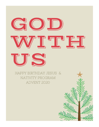# GIOID ╱╵╛┎╵┶┑┎╜╺┎┙╕┎ JS,

HAPPY BIRTHDAY JESUS & NATIVITY PROGRAM ADVENT 2020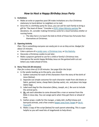## *How to Host a Happy Birthday Jesus Party*

## **1. Invitations**

- Make an evite or paperless post OR make invitations on a fun Christmas stationary to hand deliver to neighbors or to mail.
- Since this is a birthday party for Jesus, you can ask for each family to bring a gift for "the least of these." Consider a [PCPC Urban Ministry partner](https://pcpc.org/city-missions/volunteer-opportunities/) for donations. Or, consider making Christmas cards for a local homeless shelter or nursing home.
	- $\circ$  The idea here is to teach the kids to think of those less fortunate than themselves at Christmas.

## **2. Opening Activity**

*Plan: This is something everyone can easily join in on as they arrive. Budget for about 15 minutes.*

- Color a picture of a [candy cane,](https://caravanagainstfear.org/wp-content/uploads/2020/10/candy-cane-coloring-remarkable-pages-worksheets-ideas-printable-story-along-with-pagess-colouring-in-christmas-for-to-print.jpg) [a Christmas tree,](http://www.supercoloring.com/coloring-pages/simple-christmas-tree) or [the Nativity.](https://i.pinimg.com/originals/a2/d6/33/a2d633206a28d9c87090e531305210f2.gif)
- Decorate a Christmas cookie to eat later.
- Make a popcorn garland to use for a child or family's Christmas tree. Intersperse the words Happy Birthday Jesus on the garland with cut out letters you make ahead of time.

## **3. Story Time (15-20 minutes)**

*Plan for a story time of 15-20 minutes. See page 8 for the Script.*

- In the weeks leading up to the party, you should:
	- 1. Gather costumes for each of the characters from the story of the birth of Jesus (below).
	- 2. Separate out simple costumes for each character made from old sheets or fabric, garland, twine, cheap fabric (burlap sacks), etc. and place into large Ziploc bags.
	- 3. Label each bag for the characters (Mary, Joseph, etc.). Be sure to include the animal parts.
	- 4. **Or,** ask each attendee to come dressed like a man or woman from the Bible in Jesus day. You can assign parts when they get there or ahead of time.
	- 5. Gather props: cradle for the manger, a baby doll, stuffed sheep and barnyard animals, and a few crowns [\(paper ones from Target](https://www.target.com/p/12ct-gold-tiara-crown-spritz-8482/-/A-51470361?ref=tgt_adv_XS000000&AFID=google_pla_df&fndsrc=tgtao&DFA=71700000012806747&CPNG=PLA_Seasonal%2BShopping_Local&adgroup=SC_Seasonal&LID=700000001170770pgs&LNM=PRODUCT_GROUP&network=g&device=c&location=9026941&targetid=aud-451285846473:pla-909721506196&ds_rl=1246978&ds_rl=1248099&ds_rl=1247068&gclid=CjwKCAiA7939BRBMEiwA-hX5J7199Fu1-6vgQbRmgXzBDoYOtzIXAFVDDOJ2-YTmhKONkLB3MrUxexoCGdYQAvD_BwE&gclsrc=aw.ds) or [Do-It-](https://www.dltk-kids.com/CRAFTS/mcrown.htm)[Yourself\)](https://www.dltk-kids.com/CRAFTS/mcrown.htm).
	- 6. Make a copy of the script (below) for each parent attending. This is super helpful as you will need lots of stagehands to help direct.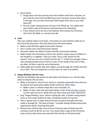- Day of party:
	- 1. Assign parts and have parents assist the children with their costumes. As you read the story from the Bible have each character assume their place in the play. You can even have each child repeat their lines as you read them off!
	- 2. Be sure to get a group picture and use it for follow-up. You might send each child a copy of the picture and thank them for attending.
	- 3. If you choose not to act out a live Nativity, then choose the Christmas story from the Bible, or a version you like.

## **4. Craft**

*Plan your craft for about 15 minutes. Instructions on each of these crafts are at the end of this document. Pick and choose from the items below***.**

- Make a Saint Nicholas apple (Instructions below);
- Sew a Candy Cane card (Instructions below);
- Decorate cookies for Advent Cookie Calendar (Instructions below).
- Make Candy Cane Christmas cards for the children to give away to children in the hospital or a neighbor. They can make "Jesus is the reason for the season!" and you can use a Candy Cane for the "J". If they are younger, have a verse already printed out for them to color on the inside of the card. If they are older, let them copy the verse themselves.
- Make jingle bell wreaths with satin ribbon strung through 10-12 bells and tied into a bow. They can hang them on their doors or wear as bracelets.

## **5. Happy Birthday Cake for Jesus**

*Plan for the birthday cake portion to take about 10 minutes or so. Use the ideas below to help for this fun time***.**

- Make or purchase a cake of your choice or cupcakes (especially since that can be cleaner and easier given public health concerns). Other ideas:
	- Make a cake in a festive shape like a star if possible. Or,
	- Make a 5 layer cake with each layer being a color of the [Wordless Gospel.](https://www.letthelittlechildrencome.com/child-evangelism-resources/wordless-book-share-the-gospel) Cut the cake and serve. While they eat share what each layer represents.
- Sing "Happy Birthday, Jesus" before cutting the cake. Consider having boxed juices or mini-water bottles for kids, and bottled waters for parents.
- Have a special chair or table where the kids can place their gifts that they made or brought for "the least of these." Consider letting families know what organization will be receiving their gifts.
- Remind each child to take some time on Christmas day to thank Jesus for coming to earth to die for our sins. You could make a copy of the Christmas story script to take home and read with their family on Christmas Day!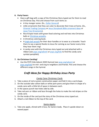## **6. Party Favors**

- Have a gift bag with a copy of the Christmas Story typed out for them to read on Christmas Day. Pick and choose from such items as:
	- A tiny manger scene. (Ex., [Dollar General\)](https://www.dollargeneral.com/products/product-page.mini-nativity-scene-assorted.html)
	- Little ornaments that they can color to decorate their trees at home. (Ex., [Oriental Trading Company](https://www.orientaltrading.com/jesus-gift-ornament-craft-kit-a2-13811758.fltr) or [Jesus Storybook Bible ornament ideas](https://redheadjulie72.wordpress.com/2013/11/29/easy-advent-idea-with-the-jesus-storybook-bible/) or Jesse Tree [Ornaments\)](https://lifeyourway.net/printables/jesse-tree-ornaments.pdf).
	- Rice Krispie treats with green food coloring and red hots into Christmas balls or [Christmas wreaths.](https://www.swankyrecipes.com/christmas-corn-flake-wreath-cookies.html)
	- A Christmas coloring book.
	- A [jingle bell wreath](https://frugalfamilyhome.com/home/crafts-home/easy-to-make-jingle-bell-wreath-ornament) for their door handles or to wear as a bracelet. Teach them to say a special thanks to Jesus for coming as our Savior every time they hear them ring!
	- A candy cane with the Christmas story typed out and attached with a ribbon (see [pcpc.org/advent](https://pcpc.org/advent/) or [pcpc.org/kids](https://pcpc.org/kids/) to find the candy cane symbol pamphlet).

## **7. Go Christmas Caroling!**

• Use the PCPC Kids Advent 2020 Hymnal (see [pcpc.org/advent](https://pcpc.org/advent/) or [pcpc.org/kids\)](https://pcpc.org/kids/) to visit and sing to neighbors and friends. Pick and choose the different songs in the hymnal.

# *Craft Ideas for Happy Birthday Jesus Party*

## *Candy Cane Christmas Cards*

- 1. Take a piece of red or green construction paper and fold it into a card shape.
- 2. On the outside take cotton balls or white pom poms and glue them in shape of a candy cane with a little bit of space in between each.
- 3. In the spaces punch two holes side by side.
- 4. Take red yarn or ribbon and lace through the holes to make the red stripes on the candy cane.
- 5. On the inside of the card put the story of the Christmas story typed out.
- 6. Attach a red ribbon to the top of the card.

## *Santa Apples*

1. Take one apple, shined with Crisco, for Santa's body. Place it upside-down on waxed paper.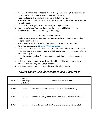- 2. Stick 3 or 4 cranberries on toothpicks for the legs and arms. (Allow the arms to angle in a slight "V" and the legs to come a bit forward.)
- 3. Place one toothpick in the back as a prop to help Santa stand.
- 4. Use whole fresh cloves for Santa's eye's, nose, mouth and the buttons down the front of his suit.
- 5. Attach cotton with glue for Santa's beard, coming to a point.
- 6. Create Santa's head from one large marshmallow, and his hat from one cranberry. (This Santa is for looking, not eating!)

## *Advent Cookie Calendar*

- 1. Purchase either pre-packaged cookie dough or make your own. Sugar cookie dough is recommended.
- 2. Use cookie cutters that would enable you to share a biblical truth about Christmas. Suggestions: [18 piece Wilton at](https://www.target.com/p/wilton-18pc-holiday-metal-cookie-cutter-set/-/A-79812874?ref=tgt_adv_XS000000&AFID=google_pla_df&fndsrc=tgtao&DFA=71700000012732784&CPNG=PLA_Kitchen%2BShopping_Local&adgroup=SC_Kitchen&LID=700000001170770pgs&LNM=PRODUCT_GROUP&network=g&device=c&location=9026941&targetid=pla-995615408366&ds_rl=1246978&ds_rl=1247068&ds_rl=1248099&gclid=CjwKCAiA2O39BRBjEiwApB2Ikj3rmwRrJsWnSx1J-a2wnGUSuPPjkiDKd8IBndE7kPlu4_H3QfdUSBoCIFIQAvD_BwE&gclsrc=aw.ds) Target
- 3. Place each cookie in a small plastic bag, print off or write in an explanation and verse (see below) and place in bag, and tie it shut with a four-inch strand of slim red ribbon or yarn.
- 4. Place the cookie bags in a Christmas basket or put them in a place to access easily.
- 5. Each day in Advent open the designated cookie, read how the cookie shape relates to Advent along with Scripture reference.
- 6. On Christmas Day, enjoy the big cookie with the whole family!

## *Advent Cookie Calendar Scripture Idea & Reference*

| Date     | Cookie<br><b>Cutter Shape</b><br>or Pattern | <b>Scripture Idea and Reference</b>                                |
|----------|---------------------------------------------|--------------------------------------------------------------------|
| $29-Nov$ | Star                                        | The star led the wisemen to baby Jesus. (Matthew 2:1-2)            |
| 30-Nov   | Sheep                                       | Sheep were likely in the stable where Jesus was born. (Luke 2:6-7) |
| 1-Dec    | Wreath                                      | The circle represents God's unending love for us. (Romans 5:8)     |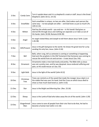| 2-Dec  | Candy Cane         | Turn it upside down and it is a shepherd's crook or staff. Jesus is the Great<br>Shepherd. (John 10:11, 14-15)                                                                                                       |
|--------|--------------------|----------------------------------------------------------------------------------------------------------------------------------------------------------------------------------------------------------------------|
| 3-Dec  | Snowflake          | Each snowflake is unique, no two are alike. God makes each person the<br>same way -- no two people are alike -- and God loves us just as much! (Ps.<br>$139:13-14)$                                                  |
| 4-Dec  | Mitten             | God has the whole world $-$ you and me $-$ in His hands! God gives us<br>eternal life through Jesus and nothing can separate us or take us out of<br>His hands. (John 10:28; Romans 8:38-39)                         |
| 5-Dec  | Angel              | An angel visited Mary and Joseph to tell them about Jesus' birth. (Luke<br>$1:26-38$                                                                                                                                 |
| 6-Dec  | Gift/Present       | Jesus is the gift God gives to the world. He shows His great love for us by<br>sending His only Son, Jesus. (John 3:16)                                                                                              |
| 7-Dec  | Bell               | Bells, when rung, tell us someone is coming or something is happening.<br>God sent the prophets in the Old Testament that Someone was coming to<br>rescue the world from sin and sorrow $-$ it was Jesus! (Isa. 9:6) |
| 8-Dec  | Ornament           | Ornaments make a tree look lovely and pretty. The Bible tells us Jesus<br>was not a pretty man, and he was despised. Jesus endured suffering and<br>pain, so He could rescue us! (Isa. 53)                           |
| 9-Dec  | Light Bulb         | Jesus is the light of the world! (John 8:12)                                                                                                                                                                         |
| 10-Dec | Christmas<br>Tree  | Trees can remind us of the wood that made the manger Jesus slept in or<br>the stable that was over his head. And the Cross on which Jesus died to<br>show us how much God loved us. (John 3:16)                      |
| 11-Dec | Star               | Jesus is the Bright and Morning Star. (Rev. 22:16)                                                                                                                                                                   |
| 12-Dec | Sheep              | Jesus is the Lamb of God who takes away the sin of the world. (John 1:29)                                                                                                                                            |
| 13-Dec | Gingerbread<br>Man | Jesus came to save all people from their sins! But to do that, He had to<br>become a human too! (John 1:11-16)                                                                                                       |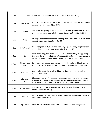| 14-Dec | Candy Cane         | Turn it upside down and it is a "J" for Jesus. (Matthew 1:21)                                                                                                                                                           |
|--------|--------------------|-------------------------------------------------------------------------------------------------------------------------------------------------------------------------------------------------------------------------|
| 15-Dec | Snowflake          | Snow is white! Because of Jesus our sins will be removed and we become<br>pure as the driven snow! (Isa. 1:18)                                                                                                          |
| 16-Dec | Mitten             | God made everything in the world. All of Creation glorifies God! In Christ<br>all things are being reconciled, or made right, with God. (Col. 1:15-22)                                                                  |
| 17-Dec | Angel              | An angel came to the shepherds keeping their flocks by night to tell them<br>about the newborn King. (Luke 2:8-20)                                                                                                      |
| 18-Dec | Gift/Present       | Jesus was promised Savior (gift) from long ago who was going to redeem<br>all the things sin, death, and Satan ruined. (Gen. 3:15)                                                                                      |
| 19-Dec | Bell               | Bells, when rung, tell us someone is coming or something is happening.<br>God sent the prophets in the Old Testament that Someone was coming to<br>rescue the world from sin and sorrow $-$ it was Jesus! (Isa. 11:1-5) |
| 20-Dec | Gingerbread<br>Man | Jesus became a human just like you and me, he had skin, blood, hair, eyes<br>and more! He had emotions too! But He was without sin. (1 John 4:2)                                                                        |
| 21-Dec | Light Bulb         | God is light, and to have fellowship with Him, a person must walk in the<br>light! (1 John 1:5-10)                                                                                                                      |
| 22-Dec | Christmas<br>Tree  | Christmas trees are fun to decorate, but eventually we take them down<br>to either store away or put by the road. Jesus never goes away though!<br>He came to be with us for forever! (Deut. 31:8; Matt. 28:20)         |
| 23-Dec | Gift/Present       | The Wise Men brought precious gifts to Jesus: gold, frankincense, and<br>myrrh. (Matthew 2:9-11)                                                                                                                        |
| 24-Dec | Wreath             | Most wreaths are green, which can represent life. Jesus comes to give us<br>eternal life. (John 10:10)                                                                                                                  |
| 25-Dec | <b>Big Cookie!</b> | Read the Nativity Story from Luke 2 and share the cookie together!                                                                                                                                                      |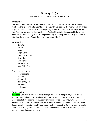# *Nativity Script*

Matthew 1:18-25; 2:1-12; Luke 1:26-38; 2:1-20

## **Introduction**

This script combines the Luke's and Matthew's account of the birth of Jesus. Below you'll see the speaking roles you'll need along with just actors. The Narrator, highlighted in green, speaks unless there is a highlighted yellow name, then that actor speaks the line. The play can seem disjointed, but that's okay! Most of actors probably have not had time to rehearse. If you finish the play quickly, switch up kids that play the roles to let others have a turn. Repetition, repetition, repetition!

## Speaking Roles

- Narrator
- Joseph
- Mary
- Angel Gabriel
- An Angel of the Lord
- Centurion
- King Herod
- Wiseman #1
- Lead Chief Priest

#### Other parts and roles

- Townspeople
- Soldiers
- Shepherds
- Host of Angels
- Wisemen
- Innkeeper

## **The Beginning**

(Narrator) God would save the world through a baby, but not just any baby. It's an exciting story and I'm here to tell you what happened that special night long ago. Many people have tried to tell the story of what God has done. They wrote what they had been told by the people who were there in the beginning and saw what happened. Doctor Luke happens to one of those people to hear about the story. He made a careful study of everything, like all doctors do, and then decided to write down exactly what took place so others could know.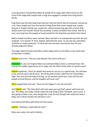A young woman named Mary (Mary & Joseph off to stage right; Mary moves to the front of the stage with Joseph with a ring) was engaged to Joseph from King David's family.

King David was the best king Israel had ever had, but David, like all humanity, messed up a lot. Since Joseph was from the family of King David that meant Joseph was royalty. Anyone in Joseph's family was royalty too. God promised long ago that a future King would come from David's family that would be a whole lot better than David. And for a very, very long time the people of Israel waited for this King that was better than David.

Before Joseph and Mary were married, Mary learned in an unexpected way that she was pregnant. A co-worker of mine, Gabriel, delivered the news. To say she was speechless would be an understatement. To think she was not even married yet, but she was already pregnant? Wow!

The angel Gabriel (meets with Mary center stage) went to visit Mary in the small town of Nazareth in Galilee.

Gabriel said to her, *"You are truly blessed! The Lord is with you."* 

(Narrator) As you can imagine Mary was confused (Mary shows a confused face). Not only by the sudden appearance of an angel, but she didn't know what my words meant.

Gabriel explained, "*Don't be afraid! God wants to use you in a special way. You will have a son, and His name will be Jesus. He will be great and be called the Son of God Most High. The Lord God will make him king, as his ancestor David was. Jesus will rule the people of Israel forever, and his kingdom will never end.*"

Mary popped back and said, *"How can this happen? I am not married!"*

And Gabriel said, "*The Holy Spirit will come upon you and God's power will come over you. This baby, your baby, will be called the holy Song of God. Elizabeth, your cousin, is also going to have a son, even though she is old. No one thought she could ever have a baby, but in three months she will have a son."*

And Gabriel left Mary with these last few words;

Gabriel: "*Nothing is impossible for God!"*

Mary was ready; she said to Gabriel,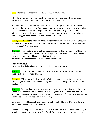## Mary: "*I am the Lord's servant! Let it happen as you have said*."

All of this would come true just like Isaiah said it would: "A virgin will have a baby boy, and he will be called Immanuel," which means "God is with us."

And then there was Joseph (Joseph waves). We can't forget about him! Joseph was a good man, but when he heard from Mary about this surprise baby, well, he was ready to call off the wedding. Joseph thought about this a lot (pondering/thinking), and he just felt tired all the time thinking about it. (Joseph lays down like taking a nap). While he was napping, an angel of the Lord came to him in a dream.

The angel of the Lord told Joseph, "*The baby that Mary will have is from the Holy Spirit. Go ahead and marry her. Then after her baby is born, name him Jesus, because he will save his people from their sins.*"

(Narrator) Joseph quickly woke up from the dream and did just as I told him. This was a spectacular moment. All the world was waiting for it: that God would come to be with His people. Immanuel which means God is with us. (Mary and Joseph leave spot and walk behind the audience.)

#### **The Birth of Jesus**

(Town bustling, kids talking, Mary and Joseph finally arrive to town)

(Narrator) About that time Emperor Augustus gave orders for the names of all the people to be listed in record books.

Centurion: "Alright now. Settle down. Here's the deal. We got to get a head count here. Caesar Augustus wants to know how many people live in his kingdom. So take a number and line up."

(Narrator) Everyone had to go to their own hometown to be listed. Joseph had to leave Nazareth in Galilee and go to Bethlehem in Judea (leave bustling town part and walk over to the manger). Long ago Bethlehem had been King David's hometown, and Joseph went there because he was from David's family.

Mary was engaged to Joseph and traveled with him to Bethlehem. (Mary sits down in the manger; Joseph stands behind her).

She was soon going to have a baby, but there was no room anywhere in town to stay. So Joseph and Mary stayed in a stable. That's right! A place where donkeys, sheep, and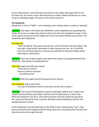horses sleep and eat. And while they were there in the stable, Mary gave birth to her first-born son. His name is Jesus! She dressed him in baby clothes and laid him on a bed of hay in a feeding trough. The Savior of the World was born!

## **The Shepherds**

(Shepherds in front of "field" – some standing, some sitting; sheep in audience "baaing")

(Narrator) That night in the fields near Bethlehem some shepherds were guarding their sheep. All at once an angel came down to them from the Lord, (shepherds cower in fear at the angel's presence) and the brightness of the Lord's glory flashed around them. The shepherds were frightened.

## An angel said,

*"Don't be afraid! I have good news for you, which will make everyone happy. This very day in King David's hometown a Savior was born for you. He is Christ the Lord. You will know who he is, because you will find him dressed in baby clothes and lying on a bed of hay."*

(Narrator) Then lots of other angels came down from heaven and appeared before the shepherds. They joined in praising God too.

They said (angel ensemble says aloud): *"Praise God in heaven! Peace on earth to everyone who pleases God."*

(Narrator) After the angels had left and gone back to heaven.

The shepherds said to each other, *"Let's go to Bethlehem and see what the Lord has told us about."* 

(Narrator) They hurried off (shepherds stand up and begin walking over to Mary and Joseph) and found Mary and Joseph, and they saw the baby lying on a bed of hay. When the shepherds saw Jesus, they told his parents what the angel had said about him. Everyone listened and was surprised. But Mary kept thinking about all this and wondering what it meant.

As the shepherds returned (walk back to the field) to their sheep (sheep "baa"), they were praising God and saying wonderful things about him. Everything they had seen and heard was just as the angel had said.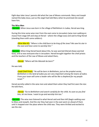Eight days later Jesus' parents did what the Law of Moses commands. Mary and Joseph named the baby Jesus, just as the angel had told Mary when he promised she would have him.

#### **The Wise Men**

(Narrator) When Jesus was born in the village of Bethlehem in Judea, Herod was king.

During this time some wise men from the east came to Jerusalem (wise men walking en masse from stage left and stop at Herod – where the village was) and said to King Herod (standing there with some soldiers):

(Wise Man #1) *"Where is the child born to be king of the Jews? We saw his star in the east and have come to worship him."*

(Narrator) When King Herod heard about this, he was worried (Herod shows worried face), and so was everyone else in Jerusalem. Herod brought together the chief priests and the teachers of the Law of Moses and asked them,

(Herod) *"Where will the Messiah be born?"*

He was told,

(Lead Chief Priest) "*He will be born in Bethlehem, just as the prophet wrote, Bethlehem in the land of Judea you are very important among the towns of Judea. From your town will come a leader who will be like a shepherd for my people Israel.'"*

Herod secretly called in the wise men and asked them when they had first seen the star. He told them,

(Herod) *"Go to Bethlehem and search carefully for the child. As soon as you find him, let me know. I want to go and worship him too."*

(Narrator) The wise men listened to what Herod said and then left (begin walking over to Mary and Joseph). And the star they had seen in the east went on ahead of them until it stopped over the place where the child was. They were thrilled and excited to see the star.